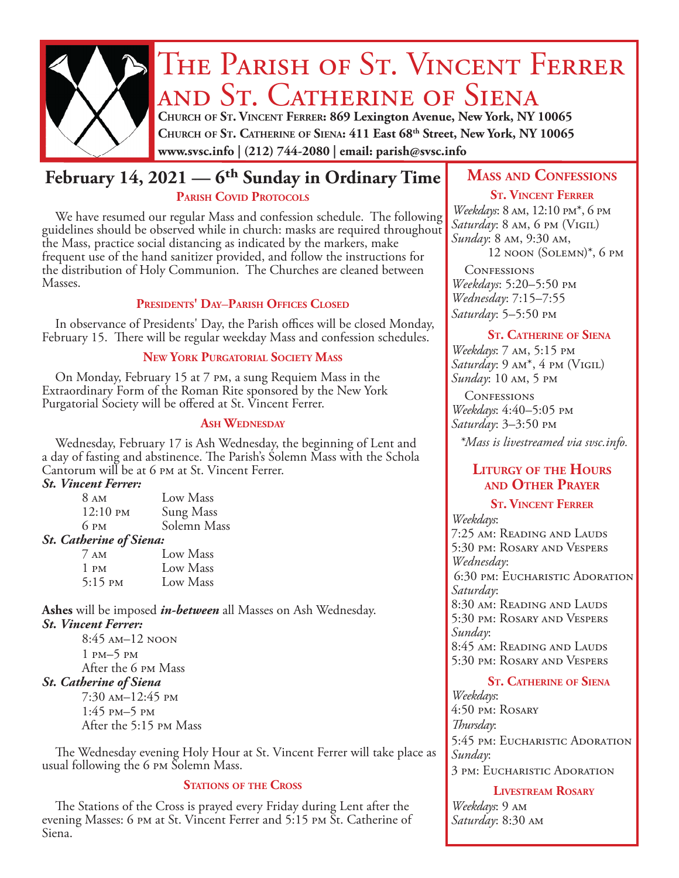

# THE PARISH OF ST. VINCENT FERRER and St. Catherine of Siena

**Church of St. Vincent Ferrer: 869 Lexington Avenue, New York, NY 10065 Church of St. Catherine of Siena: 411 East 68th Street, New York, NY 10065 www.svsc.info | (212) 744-2080 | email: parish@svsc.info**

# **February 14, 2021 — 6<sup>th</sup> Sunday in Ordinary Time MASS AND CONFESSIONS** PARISH COVID PROTOCOLS

We have resumed our regular Mass and confession schedule. The following guidelines should be observed while in church: masks are required throughout the Mass, practice social distancing as indicated by the markers, make frequent use of the hand sanitizer provided, and follow the instructions for the distribution of Holy Communion. The Churches are cleaned between Masses.

# **Presidents' Day**–**Parish Offices Closed**

In observance of Presidents' Day, the Parish offices will be closed Monday, February 15. There will be regular weekday Mass and confession schedules.

# **New York Purgatorial Society Mass**

On Monday, February 15 at 7 pm, a sung Requiem Mass in the Extraordinary Form of the Roman Rite sponsored by the New York Purgatorial Society will be offered at St. Vincent Ferrer.

# **Ash Wednesday**

Wednesday, February 17 is Ash Wednesday, the beginning of Lent and a day of fasting and abstinence. The Parish's Solemn Mass with the Schola Cantorum will be at 6 pm at St. Vincent Ferrer.

## *St. Vincent Ferrer:*

| 8 <sub>AM</sub>     | Low Mass    |
|---------------------|-------------|
| $12:10 \text{ }$ PM | Sung Mass   |
| 6 PM                | Solemn Mass |
|                     |             |

# *St. Catherine of Siena:*

| $7 \text{ AM}$              | Low Mass |
|-----------------------------|----------|
| 1 pm                        | Low Mass |
| $5:15 \text{ }^{\text{PM}}$ | Low Mass |

**Ashes** will be imposed *in-between* all Masses on Ash Wednesday. *St. Vincent Ferrer:*

8:45 am–12 noon 1 pm–5 pm After the 6 pm Mass *St. Catherine of Siena* 7:30 am–12:45 pm

1:45 pm–5 pm After the 5:15 pm Mass

The Wednesday evening Holy Hour at St. Vincent Ferrer will take place as usual following the 6 pm Solemn Mass.

# **STATIONS OF THE CROSS**

The Stations of the Cross is prayed every Friday during Lent after the evening Masses: 6 pm at St. Vincent Ferrer and 5:15 pm St. Catherine of Siena.

# **St. Vincent Ferrer**

*Weekdays*: 8 am, 12:10 pm\*, 6 pm *Saturday*: 8 am, 6 pm (Vigil) *Sunday*: 8 am, 9:30 am, 12 noon (Solemn)\*, 6 pm

**CONFESSIONS** *Weekdays*: 5:20–5:50 pm *Wednesday*: 7:15–7:55 *Saturday*: 5–5:50 pm

## **St. Catherine of Siena**

*Weekdays*: 7 am, 5:15 pm *Saturday*: 9 am\*, 4 pm (Vigil) *Sunday*: 10 am, 5 pm

**CONFESSIONS** *Weekdays*: 4:40–5:05 pm *Saturday*: 3–3:50 pm

*\*Mass is livestreamed via svsc.info.*

# **Liturgy of the Hours and Other Prayer**

# **St. Vincent Ferrer**

*Weekdays*: 7:25 am: Reading and Lauds 5:30 pm: Rosary and Vespers *Wednesday*: 6:30 pm: Eucharistic Adoration *Saturday*: 8:30 am: Reading and Lauds 5:30 pm: Rosary and Vespers *Sunday*: 8:45 am: Reading and Lauds 5:30 pm: Rosary and Vespers

# **St. Catherine of Siena**

*Weekdays*: 4:50 pm: Rosary *Thursday*: 5:45 pm: Eucharistic Adoration *Sunday*: 3 pm: Eucharistic Adoration

# **Livestream Rosary**

*Weekdays*: 9 am *Saturday*: 8:30 am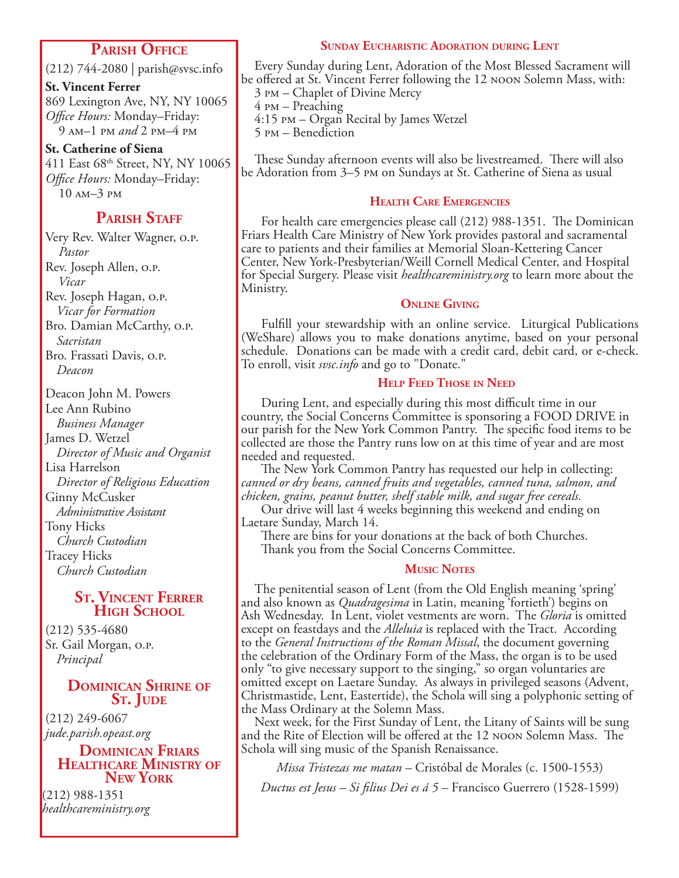# **Parish Office**

(212) 744-2080 | parish@svsc.info

**St. Vincent Ferrer** 869 Lexington Ave, NY, NY 10065 *Office Hours:* Monday–Friday: 9 am–1 pm *and* 2 pm–4 pm

**St. Catherine of Siena** 411 East 68th Street, NY, NY 10065 *Office Hours:* Monday–Friday: 10 am–3 pm

# **PARISH STAFF**

Very Rev. Walter Wagner, o.p. *Pastor* Rev. Joseph Allen, o.p. *Vicar* Rev. Joseph Hagan, o.p. *Vicar for Formation* Bro. Damian McCarthy, o.p. *Sacristan* Bro. Frassati Davis, o.p. *Deacon*

Deacon John M. Powers Lee Ann Rubino *Business Manager* James D. Wetzel *Director of Music and Organist* Lisa Harrelson *Director of Religious Education* Ginny McCusker *Administrative Assistant* Tony Hicks *Church Custodian* Tracey Hicks *Church Custodian*

# **St. Vincent Ferrer High School**

(212) 535-4680 Sr. Gail Morgan, o.p. *Principal*

# **Dominican Shrine of** S<sub>T</sub>. JUDE

(212) 249-6067 *jude.parish.opeast.org*

### **Dominican Friars Healthcare Ministry of New York**

(212) 988-1351 *healthcareministry.org*

# **Sunday Eucharistic Adoration during Lent**

Every Sunday during Lent, Adoration of the Most Blessed Sacrament will be offered at St. Vincent Ferrer following the 12 noon Solemn Mass, with:

- 3 pm Chaplet of Divine Mercy
- 4 pm Preaching

4:15 pm – Organ Recital by James Wetzel

5 pm – Benediction

These Sunday afternoon events will also be livestreamed. There will also be Adoration from 3–5 pm on Sundays at St. Catherine of Siena as usual

# **Health Care Emergencies**

 For health care emergencies please call (212) 988-1351. The Dominican Friars Health Care Ministry of New York provides pastoral and sacramental care to patients and their families at Memorial Sloan-Kettering Cancer Center, New York-Presbyterian/Weill Cornell Medical Center, and Hospital for Special Surgery. Please visit *healthcareministry.org* to learn more about the Ministry.

# **Online Giving**

 Fulfill your stewardship with an online service. Liturgical Publications (WeShare) allows you to make donations anytime, based on your personal schedule. Donations can be made with a credit card, debit card, or e-check. To enroll, visit *svsc.info* and go to "Donate."

# **Help Feed Those in Need**

 During Lent, and especially during this most difficult time in our country, the Social Concerns Committee is sponsoring a FOOD DRIVE in our parish for the New York Common Pantry. The specific food items to be collected are those the Pantry runs low on at this time of year and are most needed and requested.

 The New York Common Pantry has requested our help in collecting: *canned or dry beans, canned fruits and vegetables, canned tuna, salmon, and chicken, grains, peanut butter, shelf stable milk, and sugar free cereals.*

 Our drive will last 4 weeks beginning this weekend and ending on Laetare Sunday, March 14.

 There are bins for your donations at the back of both Churches. Thank you from the Social Concerns Committee.

# **Music Notes**

The penitential season of Lent (from the Old English meaning 'spring' and also known as *Quadragesima* in Latin, meaning 'fortieth') begins on Ash Wednesday. In Lent, violet vestments are worn. The *Gloria* is omitted except on feastdays and the *Alleluia* is replaced with the Tract. According to the *General Instructions of the Roman Missal*, the document governing the celebration of the Ordinary Form of the Mass, the organ is to be used only "to give necessary support to the singing," so organ voluntaries are omitted except on Laetare Sunday. As always in privileged seasons (Advent, Christmastide, Lent, Eastertide), the Schola will sing a polyphonic setting of the Mass Ordinary at the Solemn Mass.

Next week, for the First Sunday of Lent, the Litany of Saints will be sung and the Rite of Election will be offered at the 12 noon Solemn Mass. The Schola will sing music of the Spanish Renaissance.

*Missa Tristezas me matan* – Cristóbal de Morales (c. 1500-1553) *Ductus est Jesus – Si filius Dei es á 5* – Francisco Guerrero (1528-1599)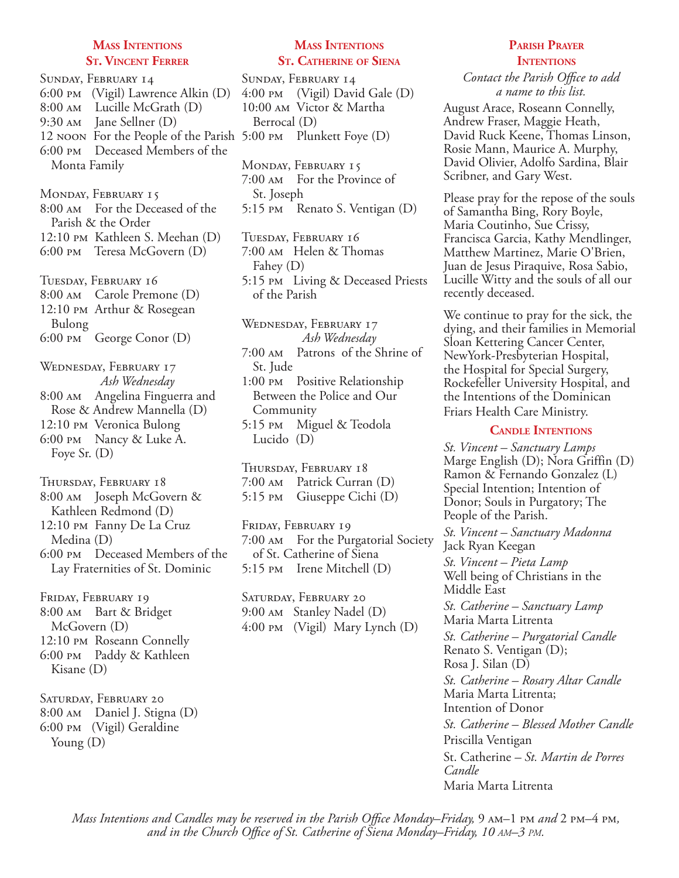### **Mass Intentions St. Vincent Ferrer**

Sunday, February 14 6:00 pm (Vigil) Lawrence Alkin (D) 8:00 am Lucille McGrath (D) 9:30 am Jane Sellner (D) 12 noon For the People of the Parish 5:00 pm Plunkett Foye (D) 6:00 pm Deceased Members of the Monta Family

MONDAY, FEBRUARY 15 8:00 am For the Deceased of the Parish & the Order 12:10 pm Kathleen S. Meehan (D) 6:00 pm Teresa McGovern (D)

Tuesday, February 16 8:00 am Carole Premone (D) 12:10 pm Arthur & Rosegean Bulong 6:00 pm George Conor (D)

Wednesday, February 17 *Ash Wednesday* 8:00 am Angelina Finguerra and Rose & Andrew Mannella (D) 12:10 pm Veronica Bulong 6:00 pm Nancy & Luke A. Foye Sr. (D)

Thursday, February 18 8:00 am Joseph McGovern & Kathleen Redmond (D)

12:10 pm Fanny De La Cruz Medina (D)

6:00 pm Deceased Members of the Lay Fraternities of St. Dominic

FRIDAY, FEBRUARY 19 8:00 am Bart & Bridget McGovern (D) 12:10 pm Roseann Connelly 6:00 pm Paddy & Kathleen Kisane (D)

Saturday, February 20 8:00 am Daniel J. Stigna (D) 6:00 pm (Vigil) Geraldine Young (D)

# **Mass Intentions St. Catherine of Siena**

Sunday, February 14 4:00 pm (Vigil) David Gale (D) 10:00 am Victor & Martha Berrocal (D)

MONDAY, FEBRUARY 15 7:00 am For the Province of St. Joseph 5:15 pm Renato S. Ventigan (D)

Tuesday, February 16 7:00 am Helen & Thomas Fahey (D) 5:15 pm Living & Deceased Priests of the Parish

Wednesday, February 17 *Ash Wednesday* 7:00 am Patrons of the Shrine of St. Jude

1:00 pm Positive Relationship Between the Police and Our Community

5:15 pm Miguel & Teodola Lucido (D)

Thursday, February 18 7:00 am Patrick Curran (D) 5:15 pm Giuseppe Cichi (D)

FRIDAY, FEBRUARY 19 7:00 am For the Purgatorial Society of St. Catherine of Siena 5:15 pm Irene Mitchell (D)

Saturday, February 20 9:00 am Stanley Nadel (D) 4:00 pm (Vigil) Mary Lynch (D)

# **Parish Prayer INTENTIONS**

*Contact the Parish Office to add a name to this list.*

August Arace, Roseann Connelly, Andrew Fraser, Maggie Heath, David Ruck Keene, Thomas Linson, Rosie Mann, Maurice A. Murphy, David Olivier, Adolfo Sardina, Blair Scribner, and Gary West.

Please pray for the repose of the souls of Samantha Bing, Rory Boyle, Maria Coutinho, Sue Crissy, Francisca Garcia, Kathy Mendlinger, Matthew Martinez, Marie O'Brien, Juan de Jesus Piraquive, Rosa Sabio, Lucille Witty and the souls of all our recently deceased.

We continue to pray for the sick, the dying, and their families in Memorial Sloan Kettering Cancer Center, NewYork-Presbyterian Hospital, the Hospital for Special Surgery, Rockefeller University Hospital, and the Intentions of the Dominican Friars Health Care Ministry.

## **Candle Intentions**

*St. Vincent – Sanctuary Lamps*  Marge English (D); Nora Griffin (D) Ramon & Fernando Gonzalez (L) Special Intention; Intention of Donor; Souls in Purgatory; The People of the Parish. *St. Vincent – Sanctuary Madonna* Jack Ryan Keegan *St. Vincent – Pieta Lamp* Well being of Christians in the Middle East *St. Catherine – Sanctuary Lamp*  Maria Marta Litrenta *St. Catherine – Purgatorial Candle*  Renato S. Ventigan (D); Rosa J. Silan (D) *St. Catherine – Rosary Altar Candle* Maria Marta Litrenta; Intention of Donor *St. Catherine – Blessed Mother Candle* Priscilla Ventigan St. Catherine *– St. Martin de Porres Candle*  Maria Marta Litrenta

*Mass Intentions and Candles may be reserved in the Parish Office Monday–Friday,* 9  $\mu$ –1 pm *and* 2 pm–4 pm, *and in the Church Office of St. Catherine of Siena Monday–Friday, 10 am–3 pm.*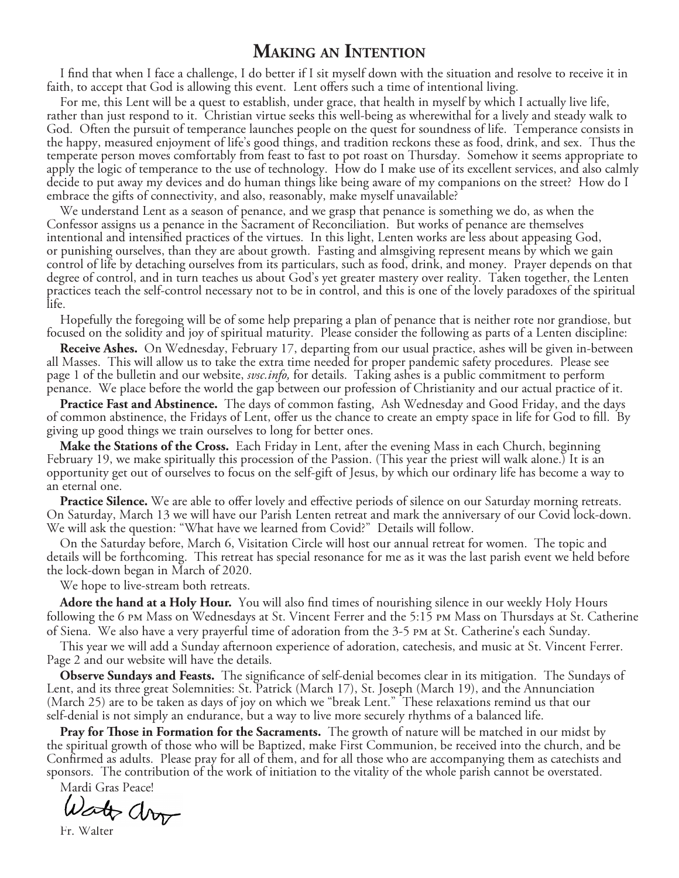# **Making an Intention**

I find that when I face a challenge, I do better if I sit myself down with the situation and resolve to receive it in faith, to accept that God is allowing this event. Lent offers such a time of intentional living.

For me, this Lent will be a quest to establish, under grace, that health in myself by which I actually live life, rather than just respond to it. Christian virtue seeks this well-being as wherewithal for a lively and steady walk to God. Often the pursuit of temperance launches people on the quest for soundness of life. Temperance consists in the happy, measured enjoyment of life's good things, and tradition reckons these as food, drink, and sex. Thus the temperate person moves comfortably from feast to fast to pot roast on Thursday. Somehow it seems appropriate to apply the logic of temperance to the use of technology. How do I make use of its excellent services, and also calmly decide to put away my devices and do human things like being aware of my companions on the street? How do I embrace the gifts of connectivity, and also, reasonably, make myself unavailable?

We understand Lent as a season of penance, and we grasp that penance is something we do, as when the Confessor assigns us a penance in the Sacrament of Reconciliation. But works of penance are themselves intentional and intensified practices of the virtues. In this light, Lenten works are less about appeasing God, or punishing ourselves, than they are about growth. Fasting and almsgiving represent means by which we gain control of life by detaching ourselves from its particulars, such as food, drink, and money. Prayer depends on that degree of control, and in turn teaches us about God's yet greater mastery over reality. Taken together, the Lenten practices teach the self-control necessary not to be in control, and this is one of the lovely paradoxes of the spiritual life.

Hopefully the foregoing will be of some help preparing a plan of penance that is neither rote nor grandiose, but focused on the solidity and joy of spiritual maturity. Please consider the following as parts of a Lenten discipline:

**Receive Ashes.** On Wednesday, February 17, departing from our usual practice, ashes will be given in-between all Masses. This will allow us to take the extra time needed for proper pandemic safety procedures. Please see page 1 of the bulletin and our website, *svsc.info,* for details. Taking ashes is a public commitment to perform penance. We place before the world the gap between our profession of Christianity and our actual practice of it.

**Practice Fast and Abstinence.** The days of common fasting, Ash Wednesday and Good Friday, and the days of common abstinence, the Fridays of Lent, offer us the chance to create an empty space in life for God to fill. By giving up good things we train ourselves to long for better ones.

**Make the Stations of the Cross.** Each Friday in Lent, after the evening Mass in each Church, beginning February 19, we make spiritually this procession of the Passion. (This year the priest will walk alone.) It is an opportunity get out of ourselves to focus on the self-gift of Jesus, by which our ordinary life has become a way to an eternal one.

**Practice Silence.** We are able to offer lovely and effective periods of silence on our Saturday morning retreats. On Saturday, March 13 we will have our Parish Lenten retreat and mark the anniversary of our Covid lock-down. We will ask the question: "What have we learned from Covid?" Details will follow.

On the Saturday before, March 6, Visitation Circle will host our annual retreat for women. The topic and details will be forthcoming. This retreat has special resonance for me as it was the last parish event we held before the lock-down began in March of 2020.

We hope to live-stream both retreats.

**Adore the hand at a Holy Hour.** You will also find times of nourishing silence in our weekly Holy Hours following the 6 pm Mass on Wednesdays at St. Vincent Ferrer and the 5:15 pm Mass on Thursdays at St. Catherine of Siena. We also have a very prayerful time of adoration from the 3-5 pm at St. Catherine's each Sunday.

This year we will add a Sunday afternoon experience of adoration, catechesis, and music at St. Vincent Ferrer. Page 2 and our website will have the details.

**Observe Sundays and Feasts.** The significance of self-denial becomes clear in its mitigation. The Sundays of Lent, and its three great Solemnities: St. Patrick (March 17), St. Joseph (March 19), and the Annunciation (March 25) are to be taken as days of joy on which we "break Lent." These relaxations remind us that our self-denial is not simply an endurance, but a way to live more securely rhythms of a balanced life.

**Pray for Those in Formation for the Sacraments.** The growth of nature will be matched in our midst by the spiritual growth of those who will be Baptized, make First Communion, be received into the church, and be Confirmed as adults. Please pray for all of them, and for all those who are accompanying them as catechists and sponsors. The contribution of the work of initiation to the vitality of the whole parish cannot be overstated.

Mardi Gras Peace!<br>Westyn CV V

Fr. Walter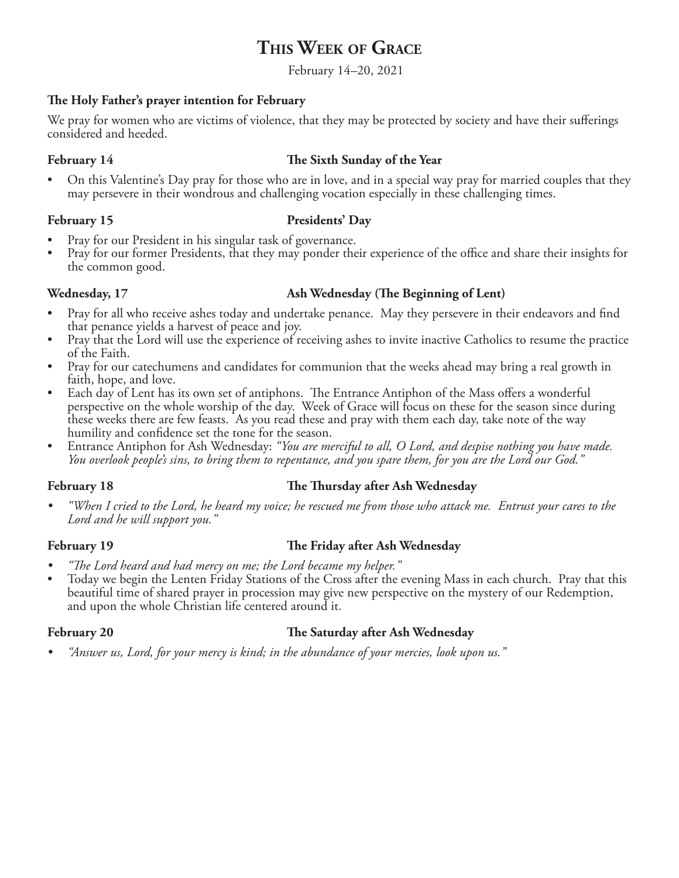# **This Week of Grace**

February 14*–*20, 2021

# **The Holy Father's prayer intention for February**

We pray for women who are victims of violence, that they may be protected by society and have their sufferings considered and heeded.

# **February 14 The Sixth Sunday of the Year**

• On this Valentine's Day pray for those who are in love, and in a special way pray for married couples that they may persevere in their wondrous and challenging vocation especially in these challenging times.

# February 15 **Presidents' Day**

- 
- Pray for our President in his singular task of governance.<br>Pray for our former Presidents, that they may ponder their experience of the office and share their insights for the common good.

# Wednesday, 17 **Ash Wednesday (The Beginning of Lent)**

- Pray for all who receive ashes today and undertake penance. May they persevere in their endeavors and find that penance yields a harvest of peace and joy.
- Pray that the Lord will use the experience of receiving ashes to invite inactive Catholics to resume the practice of the Faith.
- Pray for our catechumens and candidates for communion that the weeks ahead may bring a real growth in faith, hope, and love.
- Each day of Lent has its own set of antiphons. The Entrance Antiphon of the Mass offers a wonderful perspective on the whole worship of the day. Week of Grace will focus on these for the season since during these weeks there are few feasts. As you read these and pray with them each day, take note of the way humility and confidence set the tone for the season.
- Entrance Antiphon for Ash Wednesday: *"You are merciful to all, O Lord, and despise nothing you have made. You overlook people's sins, to bring them to repentance, and you spare them, for you are the Lord our God."*

# **February 18 The Thursday after Ash Wednesday**

*• "When I cried to the Lord, he heard my voice; he rescued me from those who attack me. Entrust your cares to the Lord and he will support you."*

# **February 19 The Friday after Ash Wednesday**

- *• "The Lord heard and had mercy on me; the Lord became my helper."*
- Today we begin the Lenten Friday Stations of the Cross after the evening Mass in each church. Pray that this beautiful time of shared prayer in procession may give new perspective on the mystery of our Redemption, and upon the whole Christian life centered around it.

# **February 20 The Saturday after Ash Wednesday**

*• "Answer us, Lord, for your mercy is kind; in the abundance of your mercies, look upon us."*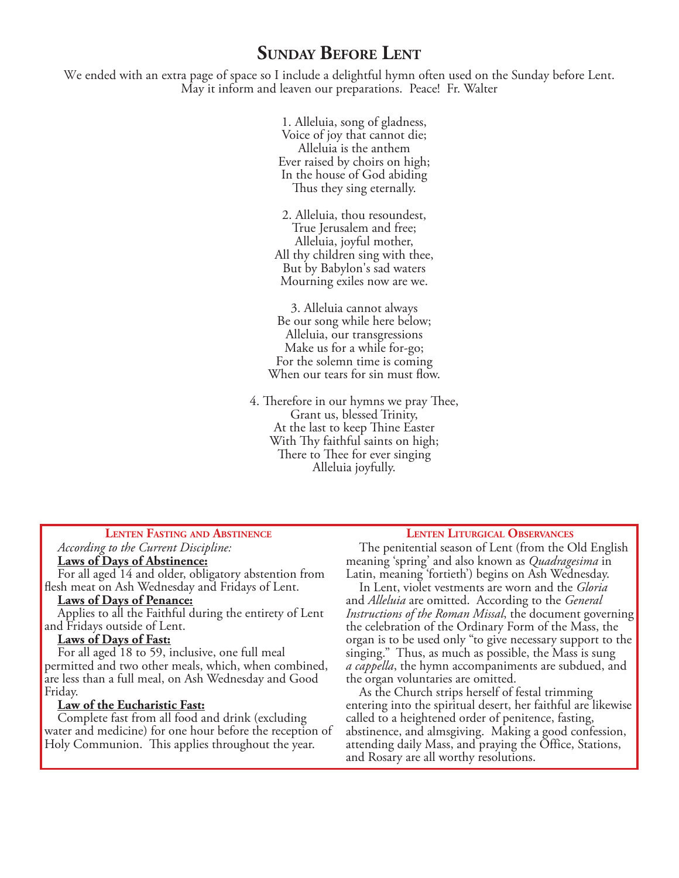# **Sunday Before Lent**

We ended with an extra page of space so I include a delightful hymn often used on the Sunday before Lent. May it inform and leaven our preparations. Peace! Fr. Walter

> 1. Alleluia, song of gladness, Voice of joy that cannot die; Alleluia is the anthem Ever raised by choirs on high; In the house of God abiding Thus they sing eternally.

2. Alleluia, thou resoundest, True Jerusalem and free; Alleluia, joyful mother, All thy children sing with thee, But by Babylon's sad waters Mourning exiles now are we.

3. Alleluia cannot always Be our song while here below; Alleluia, our transgressions Make us for a while for-go; For the solemn time is coming When our tears for sin must flow.

4. Therefore in our hymns we pray Thee, Grant us, blessed Trinity, At the last to keep Thine Easter With Thy faithful saints on high; There to Thee for ever singing Alleluia joyfully.

### **Lenten Fasting and Abstinence**

*According to the Current Discipline:*

### **Laws of Days of Abstinence:**

For all aged 14 and older, obligatory abstention from flesh meat on Ash Wednesday and Fridays of Lent.

### **Laws of Days of Penance:**

Applies to all the Faithful during the entirety of Lent and Fridays outside of Lent.

# **Laws of Days of Fast:**

For all aged 18 to 59, inclusive, one full meal permitted and two other meals, which, when combined, are less than a full meal, on Ash Wednesday and Good Friday.

### **Law of the Eucharistic Fast:**

Complete fast from all food and drink (excluding water and medicine) for one hour before the reception of Holy Communion. This applies throughout the year.

### **Lenten Liturgical Observances**

The penitential season of Lent (from the Old English meaning 'spring' and also known as *Quadragesima* in Latin, meaning 'fortieth') begins on Ash Wednesday.

In Lent, violet vestments are worn and the *Gloria* and *Alleluia* are omitted. According to the *General Instructions of the Roman Missal*, the document governing the celebration of the Ordinary Form of the Mass, the organ is to be used only "to give necessary support to the singing." Thus, as much as possible, the Mass is sung *a cappella*, the hymn accompaniments are subdued, and the organ voluntaries are omitted.

As the Church strips herself of festal trimming entering into the spiritual desert, her faithful are likewise called to a heightened order of penitence, fasting, abstinence, and almsgiving. Making a good confession, attending daily Mass, and praying the Office, Stations, and Rosary are all worthy resolutions.